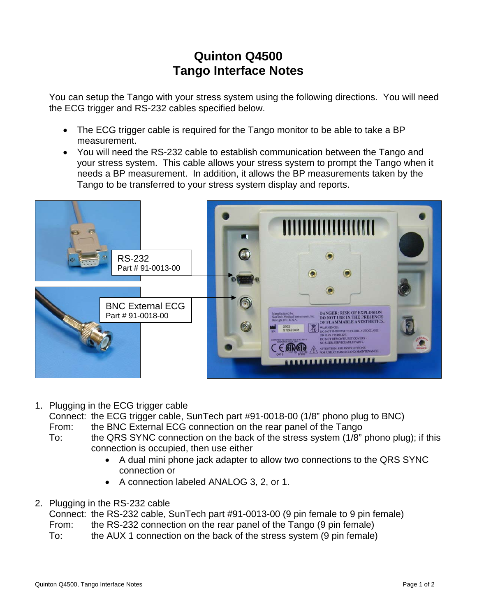## **Quinton Q4500 Tango Interface Notes**

You can setup the Tango with your stress system using the following directions. You will need the ECG trigger and RS-232 cables specified below.

- The ECG trigger cable is required for the Tango monitor to be able to take a BP measurement.
- You will need the RS-232 cable to establish communication between the Tango and your stress system. This cable allows your stress system to prompt the Tango when it needs a BP measurement. In addition, it allows the BP measurements taken by the Tango to be transferred to your stress system display and reports.



1. Plugging in the ECG trigger cable

Connect: the ECG trigger cable, SunTech part #91-0018-00 (1/8" phono plug to BNC)

- From: the BNC External ECG connection on the rear panel of the Tango
- To: the QRS SYNC connection on the back of the stress system (1/8" phono plug); if this connection is occupied, then use either
	- A dual mini phone jack adapter to allow two connections to the QRS SYNC connection or
	- A connection labeled ANALOG 3, 2, or 1.
- 2. Plugging in the RS-232 cable

Connect: the RS-232 cable, SunTech part #91-0013-00 (9 pin female to 9 pin female) From: the RS-232 connection on the rear panel of the Tango (9 pin female)

To: the AUX 1 connection on the back of the stress system (9 pin female)